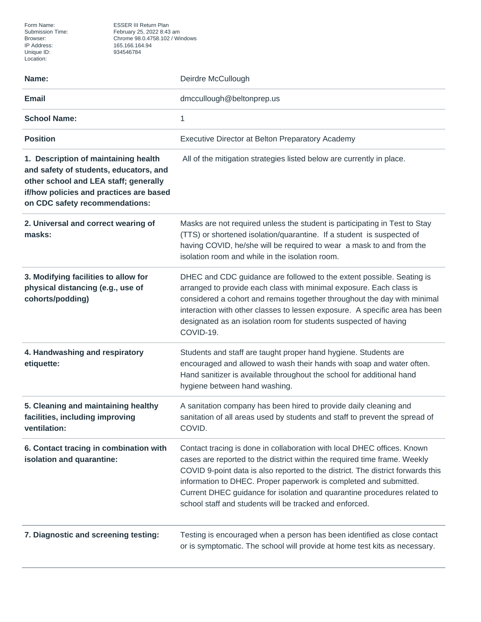Form Name: ESSER III Return Plan<br>Submission Time: February 25, 2022 8:43 Submission Time: February 25, 2022 8:43 am Browser: Chrome 98.0.4758.102 / Windows Unique ID: 934546784

| Name:                                                                                                                                                                                                | Deirdre McCullough                                                                                                                                                                                                                                                                                                                                                                                                                                  |
|------------------------------------------------------------------------------------------------------------------------------------------------------------------------------------------------------|-----------------------------------------------------------------------------------------------------------------------------------------------------------------------------------------------------------------------------------------------------------------------------------------------------------------------------------------------------------------------------------------------------------------------------------------------------|
| <b>Email</b>                                                                                                                                                                                         | dmccullough@beltonprep.us                                                                                                                                                                                                                                                                                                                                                                                                                           |
| <b>School Name:</b>                                                                                                                                                                                  | 1                                                                                                                                                                                                                                                                                                                                                                                                                                                   |
| <b>Position</b>                                                                                                                                                                                      | Executive Director at Belton Preparatory Academy                                                                                                                                                                                                                                                                                                                                                                                                    |
| 1. Description of maintaining health<br>and safety of students, educators, and<br>other school and LEA staff; generally<br>if/how policies and practices are based<br>on CDC safety recommendations: | All of the mitigation strategies listed below are currently in place.                                                                                                                                                                                                                                                                                                                                                                               |
| 2. Universal and correct wearing of<br>masks:                                                                                                                                                        | Masks are not required unless the student is participating in Test to Stay<br>(TTS) or shortened isolation/quarantine. If a student is suspected of<br>having COVID, he/she will be required to wear a mask to and from the<br>isolation room and while in the isolation room.                                                                                                                                                                      |
| 3. Modifying facilities to allow for<br>physical distancing (e.g., use of<br>cohorts/podding)                                                                                                        | DHEC and CDC guidance are followed to the extent possible. Seating is<br>arranged to provide each class with minimal exposure. Each class is<br>considered a cohort and remains together throughout the day with minimal<br>interaction with other classes to lessen exposure. A specific area has been<br>designated as an isolation room for students suspected of having<br>COVID-19.                                                            |
| 4. Handwashing and respiratory<br>etiquette:                                                                                                                                                         | Students and staff are taught proper hand hygiene. Students are<br>encouraged and allowed to wash their hands with soap and water often.<br>Hand sanitizer is available throughout the school for additional hand<br>hygiene between hand washing.                                                                                                                                                                                                  |
| 5. Cleaning and maintaining healthy<br>facilities, including improving<br>ventilation:                                                                                                               | A sanitation company has been hired to provide daily cleaning and<br>sanitation of all areas used by students and staff to prevent the spread of<br>COVID.                                                                                                                                                                                                                                                                                          |
| 6. Contact tracing in combination with<br>isolation and quarantine:                                                                                                                                  | Contact tracing is done in collaboration with local DHEC offices. Known<br>cases are reported to the district within the required time frame. Weekly<br>COVID 9-point data is also reported to the district. The district forwards this<br>information to DHEC. Proper paperwork is completed and submitted.<br>Current DHEC guidance for isolation and quarantine procedures related to<br>school staff and students will be tracked and enforced. |
| 7. Diagnostic and screening testing:                                                                                                                                                                 | Testing is encouraged when a person has been identified as close contact<br>or is symptomatic. The school will provide at home test kits as necessary.                                                                                                                                                                                                                                                                                              |